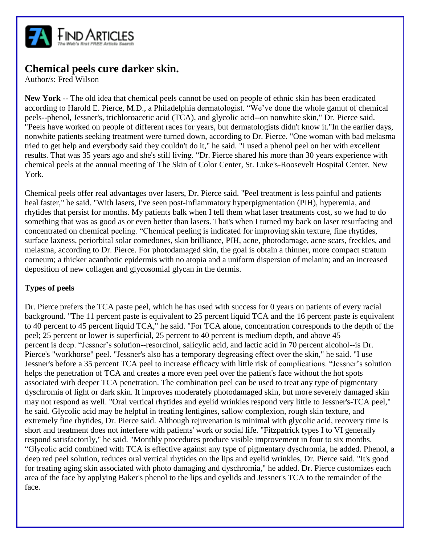

## **Chemical peels cure darker skin.**

Author/s: Fred Wilson

**New York** -- The old idea that chemical peels cannot be used on people of ethnic skin has been eradicated according to Harold E. Pierce, M.D., a Philadelphia dermatologist. "We've done the whole gamut of chemical peels--phenol, Jessner's, trichloroacetic acid (TCA), and glycolic acid--on nonwhite skin," Dr. Pierce said. "Peels have worked on people of different races for years, but dermatologists didn't know it."In the earlier days, nonwhite patients seeking treatment were turned down, according to Dr. Pierce. "One woman with bad melasma tried to get help and everybody said they couldn't do it," he said. "I used a phenol peel on her with excellent results. That was 35 years ago and she's still living. "Dr. Pierce shared his more than 30 years experience with chemical peels at the annual meeting of The Skin of Color Center, St. Luke's-Roosevelt Hospital Center, New York.

Chemical peels offer real advantages over lasers, Dr. Pierce said. "Peel treatment is less painful and patients heal faster," he said. "With lasers, I've seen post-inflammatory hyperpigmentation (PIH), hyperemia, and rhytides that persist for months. My patients balk when I tell them what laser treatments cost, so we had to do something that was as good as or even better than lasers. That's when I turned my back on laser resurfacing and concentrated on chemical peeling. "Chemical peeling is indicated for improving skin texture, fine rhytides, surface laxness, periorbital solar comedones, skin brilliance, PIH, acne, photodamage, acne scars, freckles, and melasma, according to Dr. Pierce. For photodamaged skin, the goal is obtain a thinner, more compact stratum corneum; a thicker acanthotic epidermis with no atopia and a uniform dispersion of melanin; and an increased deposition of new collagen and glycosomial glycan in the dermis.

## **Types of peels**

Dr. Pierce prefers the TCA paste peel, which he has used with success for 0 years on patients of every racial background. "The 11 percent paste is equivalent to 25 percent liquid TCA and the 16 percent paste is equivalent to 40 percent to 45 percent liquid TCA," he said. "For TCA alone, concentration corresponds to the depth of the peel; 25 percent or lower is superficial, 25 percent to 40 percent is medium depth, and above 45 percent is deep. "Jessner's solution--resorcinol, salicylic acid, and lactic acid in 70 percent alcohol--is Dr. Pierce's "workhorse" peel. "Jessner's also has a temporary degreasing effect over the skin," he said. "I use Jessner's before a 35 percent TCA peel to increase efficacy with little risk of complications. "Jessner's solution helps the penetration of TCA and creates a more even peel over the patient's face without the hot spots associated with deeper TCA penetration. The combination peel can be used to treat any type of pigmentary dyschromia of light or dark skin. It improves moderately photodamaged skin, but more severely damaged skin may not respond as well. "Oral vertical rhytides and eyelid wrinkles respond very little to Jessner's-TCA peel," he said. Glycolic acid may be helpful in treating lentigines, sallow complexion, rough skin texture, and extremely fine rhytides, Dr. Pierce said. Although rejuvenation is minimal with glycolic acid, recovery time is short and treatment does not interfere with patients' work or social life. "Fitzpatrick types I to VI generally respond satisfactorily," he said. "Monthly procedures produce visible improvement in four to six months. "Glycolic acid combined with TCA is effective against any type of pigmentary dyschromia, he added. Phenol, a deep red peel solution, reduces oral vertical rhytides on the lips and eyelid wrinkles, Dr. Pierce said. "It's good for treating aging skin associated with photo damaging and dyschromia," he added. Dr. Pierce customizes each area of the face by applying Baker's phenol to the lips and eyelids and Jessner's TCA to the remainder of the face.